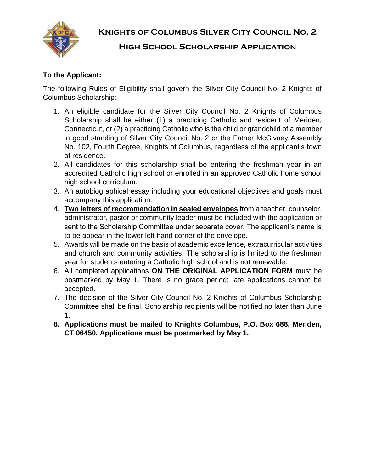

## **High School Scholarship Application**

#### **To the Applicant:**

The following Rules of Eligibility shall govern the Silver City Council No. 2 Knights of Columbus Scholarship:

- 1. An eligible candidate for the Silver City Council No. 2 Knights of Columbus Scholarship shall be either (1) a practicing Catholic and resident of Meriden, Connecticut, or (2) a practicing Catholic who is the child or grandchild of a member in good standing of Silver City Council No. 2 or the Father McGivney Assembly No. 102, Fourth Degree, Knights of Columbus, regardless of the applicant's town of residence.
- 2. All candidates for this scholarship shall be entering the freshman year in an accredited Catholic high school or enrolled in an approved Catholic home school high school curriculum.
- 3. An autobiographical essay including your educational objectives and goals must accompany this application.
- 4. **Two letters of recommendation in sealed envelopes** from a teacher, counselor, administrator, pastor or community leader must be included with the application or sent to the Scholarship Committee under separate cover. The applicant's name is to be appear in the lower left hand corner of the envelope.
- 5. Awards will be made on the basis of academic excellence, extracurricular activities and church and community activities. The scholarship is limited to the freshman year for students entering a Catholic high school and is not renewable.
- 6. All completed applications **ON THE ORIGINAL APPLICATION FORM** must be postmarked by May 1. There is no grace period; late applications cannot be accepted.
- 7. The decision of the Silver City Council No. 2 Knights of Columbus Scholarship Committee shall be final. Scholarship recipients will be notified no later than June 1.
- **8. Applications must be mailed to Knights Columbus, P.O. Box 688, Meriden, CT 06450. Applications must be postmarked by May 1.**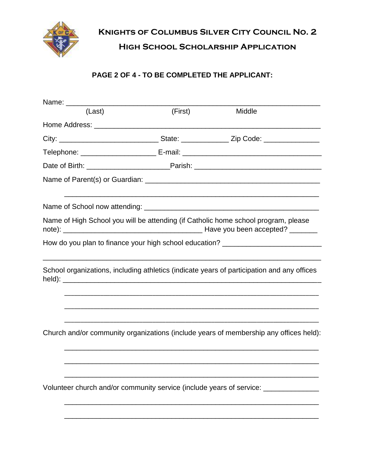

# **High School Scholarship Application**

#### **PAGE 2 OF 4 - TO BE COMPLETED THE APPLICANT:**

| Name: ______ |         |                                                                                            |
|--------------|---------|--------------------------------------------------------------------------------------------|
| (Last)       | (First) | Middle                                                                                     |
|              |         |                                                                                            |
|              |         |                                                                                            |
|              |         |                                                                                            |
|              |         |                                                                                            |
|              |         |                                                                                            |
|              |         |                                                                                            |
|              |         | Name of High School you will be attending (if Catholic home school program, please         |
|              |         | How do you plan to finance your high school education? _________________________           |
|              |         |                                                                                            |
|              |         | School organizations, including athletics (indicate years of participation and any offices |
|              |         |                                                                                            |
|              |         | Church and/or community organizations (include years of membership any offices held):      |
|              |         |                                                                                            |
|              |         | Volunteer church and/or community service (include years of service: ___________           |
|              |         |                                                                                            |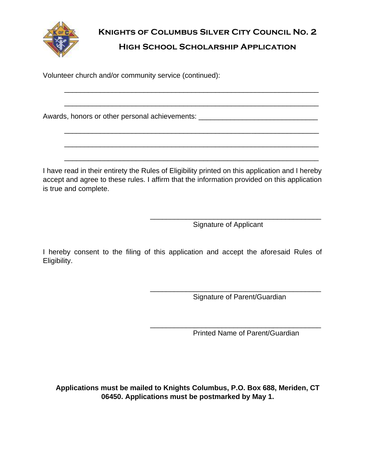

### **High School Scholarship Application**

\_\_\_\_\_\_\_\_\_\_\_\_\_\_\_\_\_\_\_\_\_\_\_\_\_\_\_\_\_\_\_\_\_\_\_\_\_\_\_\_\_\_\_\_\_\_\_\_\_\_\_\_\_\_\_\_\_\_\_\_\_\_\_\_

Volunteer church and/or community service (continued):

Awards, honors or other personal achievements: \_\_\_\_\_\_\_\_\_\_\_\_\_\_\_\_\_\_\_\_\_\_\_\_\_\_\_\_\_\_\_\_\_

I have read in their entirety the Rules of Eligibility printed on this application and I hereby accept and agree to these rules. I affirm that the information provided on this application is true and complete.

\_\_\_\_\_\_\_\_\_\_\_\_\_\_\_\_\_\_\_\_\_\_\_\_\_\_\_\_\_\_\_\_\_\_\_\_\_\_\_\_\_\_\_\_\_\_\_\_\_\_\_\_\_\_\_\_\_\_\_\_\_\_\_\_

\_\_\_\_\_\_\_\_\_\_\_\_\_\_\_\_\_\_\_\_\_\_\_\_\_\_\_\_\_\_\_\_\_\_\_\_\_\_\_\_\_\_\_\_\_\_\_\_\_\_\_\_\_\_\_\_\_\_\_\_\_\_\_\_

\_\_\_\_\_\_\_\_\_\_\_\_\_\_\_\_\_\_\_\_\_\_\_\_\_\_\_\_\_\_\_\_\_\_\_\_\_\_\_\_\_\_\_\_\_\_\_\_\_\_\_\_\_\_\_\_\_\_\_\_\_\_\_\_

Signature of Applicant

\_\_\_\_\_\_\_\_\_\_\_\_\_\_\_\_\_\_\_\_\_\_\_\_\_\_\_\_\_\_\_\_\_\_\_\_\_\_\_\_\_\_\_

I hereby consent to the filing of this application and accept the aforesaid Rules of Eligibility.

Signature of Parent/Guardian

\_\_\_\_\_\_\_\_\_\_\_\_\_\_\_\_\_\_\_\_\_\_\_\_\_\_\_\_\_\_\_\_\_\_\_\_\_\_\_\_\_\_\_

\_\_\_\_\_\_\_\_\_\_\_\_\_\_\_\_\_\_\_\_\_\_\_\_\_\_\_\_\_\_\_\_\_\_\_\_\_\_\_\_\_\_\_

Printed Name of Parent/Guardian

**Applications must be mailed to Knights Columbus, P.O. Box 688, Meriden, CT 06450. Applications must be postmarked by May 1.**